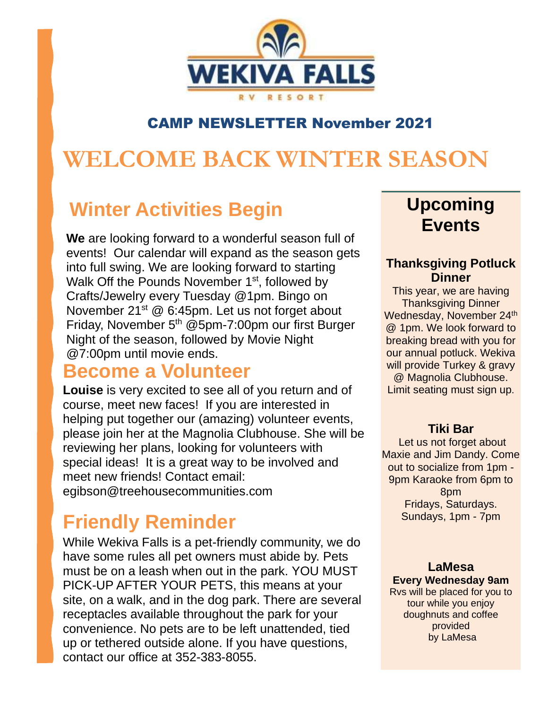

### CAMP NEWSLETTER November 2021

# **WELCOME BACK WINTER SEASON**

## **Winter Activities Begin**

**We** are looking forward to a wonderful season full of events! Our calendar will expand as the season gets into full swing. We are looking forward to starting Walk Off the Pounds November 1<sup>st</sup>, followed by Crafts/Jewelry every Tuesday @1pm. Bingo on November 21<sup>st</sup> @ 6:45pm. Let us not forget about Friday, November 5<sup>th</sup> @5pm-7:00pm our first Burger Night of the season, followed by Movie Night @7:00pm until movie ends.

### **Become a Volunteer**

**Louise** is very excited to see all of you return and of course, meet new faces! If you are interested in helping put together our (amazing) volunteer events, please join her at the Magnolia Clubhouse. She will be reviewing her plans, looking for volunteers with special ideas! It is a great way to be involved and meet new friends! Contact email: egibson@treehousecommunities.com

## **Friendly Reminder**

While Wekiva Falls is a pet-friendly community, we do have some rules all pet owners must abide by. Pets must be on a leash when out in the park. YOU MUST PICK-UP AFTER YOUR PETS, this means at your site, on a walk, and in the dog park. There are several receptacles available throughout the park for your convenience. No pets are to be left unattended, tied up or tethered outside alone. If you have questions, contact our office at 352-383-8055.

### **Upcoming Events**

#### **Thanksgiving Potluck Dinner**

This year, we are having Thanksgiving Dinner Wednesday, November 24<sup>th</sup> @ 1pm. We look forward to breaking bread with you for our annual potluck. Wekiva will provide Turkey & gravy @ Magnolia Clubhouse. Limit seating must sign up.

#### **Tiki Bar**

Let us not forget about Maxie and Jim Dandy. Come out to socialize from 1pm - 9pm Karaoke from 6pm to 8pm Fridays, Saturdays. Sundays, 1pm - 7pm

#### **LaMesa Every Wednesday 9am**

Rvs will be placed for you to tour while you enjoy doughnuts and coffee provided by LaMesa